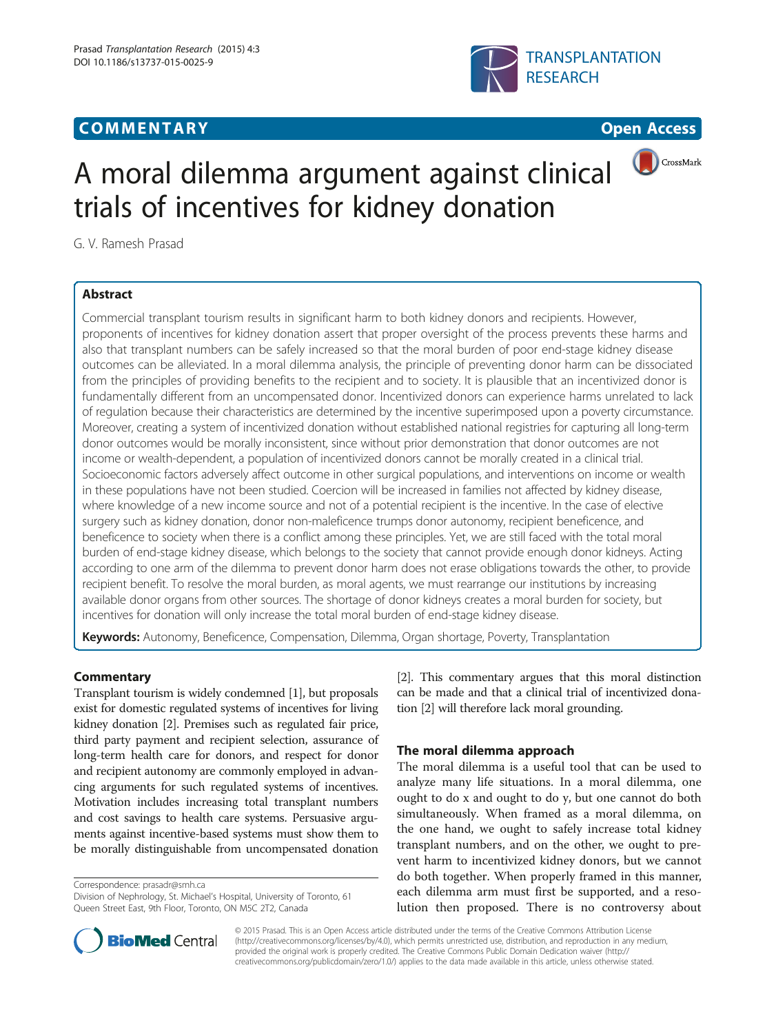# **COMMENTARY COMMENTARY COMMENTARY**



CrossMark



G. V. Ramesh Prasad

# Abstract

Commercial transplant tourism results in significant harm to both kidney donors and recipients. However, proponents of incentives for kidney donation assert that proper oversight of the process prevents these harms and also that transplant numbers can be safely increased so that the moral burden of poor end-stage kidney disease outcomes can be alleviated. In a moral dilemma analysis, the principle of preventing donor harm can be dissociated from the principles of providing benefits to the recipient and to society. It is plausible that an incentivized donor is fundamentally different from an uncompensated donor. Incentivized donors can experience harms unrelated to lack of regulation because their characteristics are determined by the incentive superimposed upon a poverty circumstance. Moreover, creating a system of incentivized donation without established national registries for capturing all long-term donor outcomes would be morally inconsistent, since without prior demonstration that donor outcomes are not income or wealth-dependent, a population of incentivized donors cannot be morally created in a clinical trial. Socioeconomic factors adversely affect outcome in other surgical populations, and interventions on income or wealth in these populations have not been studied. Coercion will be increased in families not affected by kidney disease, where knowledge of a new income source and not of a potential recipient is the incentive. In the case of elective surgery such as kidney donation, donor non-maleficence trumps donor autonomy, recipient beneficence, and beneficence to society when there is a conflict among these principles. Yet, we are still faced with the total moral burden of end-stage kidney disease, which belongs to the society that cannot provide enough donor kidneys. Acting according to one arm of the dilemma to prevent donor harm does not erase obligations towards the other, to provide recipient benefit. To resolve the moral burden, as moral agents, we must rearrange our institutions by increasing available donor organs from other sources. The shortage of donor kidneys creates a moral burden for society, but incentives for donation will only increase the total moral burden of end-stage kidney disease.

Keywords: Autonomy, Beneficence, Compensation, Dilemma, Organ shortage, Poverty, Transplantation

# **Commentary**

Transplant tourism is widely condemned [[1](#page-3-0)], but proposals exist for domestic regulated systems of incentives for living kidney donation [[2\]](#page-3-0). Premises such as regulated fair price, third party payment and recipient selection, assurance of long-term health care for donors, and respect for donor and recipient autonomy are commonly employed in advancing arguments for such regulated systems of incentives. Motivation includes increasing total transplant numbers and cost savings to health care systems. Persuasive arguments against incentive-based systems must show them to be morally distinguishable from uncompensated donation

Correspondence: [prasadr@smh.ca](mailto:prasadr@smh.ca)

Division of Nephrology, St. Michael's Hospital, University of Toronto, 61 Queen Street East, 9th Floor, Toronto, ON M5C 2T2, Canada

[[2](#page-3-0)]. This commentary argues that this moral distinction can be made and that a clinical trial of incentivized donation [\[2\]](#page-3-0) will therefore lack moral grounding.

# The moral dilemma approach

The moral dilemma is a useful tool that can be used to analyze many life situations. In a moral dilemma, one ought to do x and ought to do y, but one cannot do both simultaneously. When framed as a moral dilemma, on the one hand, we ought to safely increase total kidney transplant numbers, and on the other, we ought to prevent harm to incentivized kidney donors, but we cannot do both together. When properly framed in this manner, each dilemma arm must first be supported, and a resolution then proposed. There is no controversy about



© 2015 Prasad. This is an Open Access article distributed under the terms of the Creative Commons Attribution License [\(http://creativecommons.org/licenses/by/4.0\)](http://creativecommons.org/licenses/by/4.0), which permits unrestricted use, distribution, and reproduction in any medium, provided the original work is properly credited. The Creative Commons Public Domain Dedication waiver [\(http://](http://creativecommons.org/publicdomain/zero/1.0/) [creativecommons.org/publicdomain/zero/1.0/\)](http://creativecommons.org/publicdomain/zero/1.0/) applies to the data made available in this article, unless otherwise stated.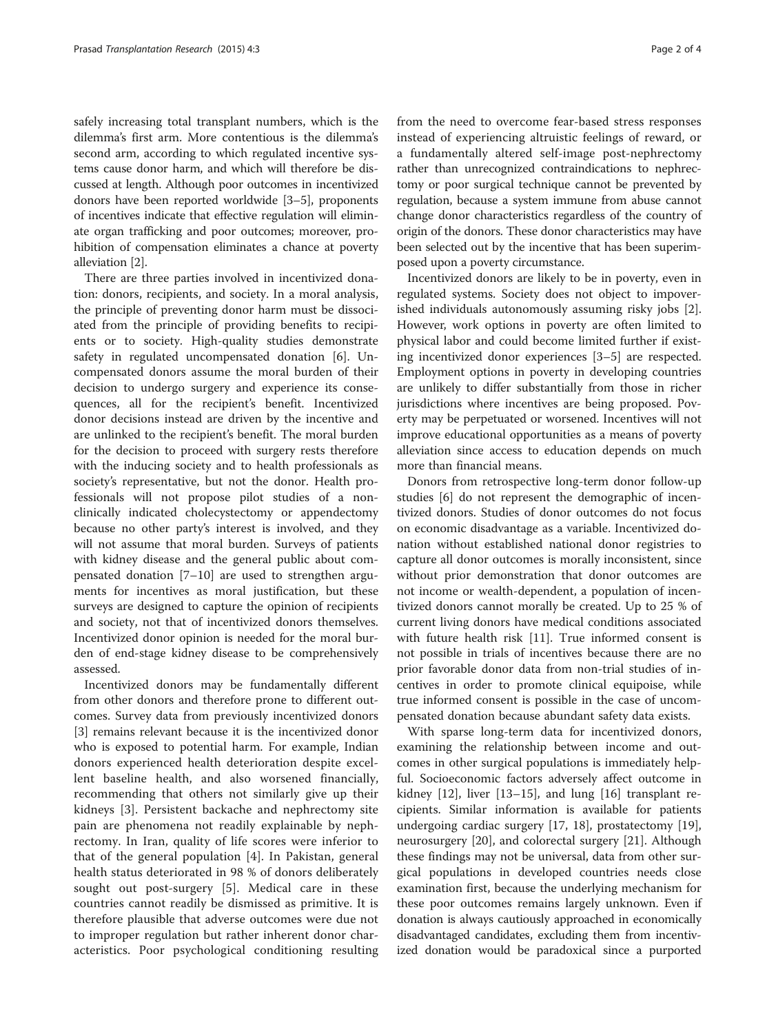safely increasing total transplant numbers, which is the dilemma's first arm. More contentious is the dilemma's second arm, according to which regulated incentive systems cause donor harm, and which will therefore be discussed at length. Although poor outcomes in incentivized donors have been reported worldwide [\[3](#page-3-0)–[5\]](#page-3-0), proponents of incentives indicate that effective regulation will eliminate organ trafficking and poor outcomes; moreover, prohibition of compensation eliminates a chance at poverty alleviation [\[2](#page-3-0)].

There are three parties involved in incentivized donation: donors, recipients, and society. In a moral analysis, the principle of preventing donor harm must be dissociated from the principle of providing benefits to recipients or to society. High-quality studies demonstrate safety in regulated uncompensated donation [\[6](#page-3-0)]. Uncompensated donors assume the moral burden of their decision to undergo surgery and experience its consequences, all for the recipient's benefit. Incentivized donor decisions instead are driven by the incentive and are unlinked to the recipient's benefit. The moral burden for the decision to proceed with surgery rests therefore with the inducing society and to health professionals as society's representative, but not the donor. Health professionals will not propose pilot studies of a nonclinically indicated cholecystectomy or appendectomy because no other party's interest is involved, and they will not assume that moral burden. Surveys of patients with kidney disease and the general public about compensated donation [[7](#page-3-0)–[10](#page-3-0)] are used to strengthen arguments for incentives as moral justification, but these surveys are designed to capture the opinion of recipients and society, not that of incentivized donors themselves. Incentivized donor opinion is needed for the moral burden of end-stage kidney disease to be comprehensively assessed.

Incentivized donors may be fundamentally different from other donors and therefore prone to different outcomes. Survey data from previously incentivized donors [[3\]](#page-3-0) remains relevant because it is the incentivized donor who is exposed to potential harm. For example, Indian donors experienced health deterioration despite excellent baseline health, and also worsened financially, recommending that others not similarly give up their kidneys [[3\]](#page-3-0). Persistent backache and nephrectomy site pain are phenomena not readily explainable by nephrectomy. In Iran, quality of life scores were inferior to that of the general population [\[4](#page-3-0)]. In Pakistan, general health status deteriorated in 98 % of donors deliberately sought out post-surgery [\[5](#page-3-0)]. Medical care in these countries cannot readily be dismissed as primitive. It is therefore plausible that adverse outcomes were due not to improper regulation but rather inherent donor characteristics. Poor psychological conditioning resulting

from the need to overcome fear-based stress responses instead of experiencing altruistic feelings of reward, or a fundamentally altered self-image post-nephrectomy rather than unrecognized contraindications to nephrectomy or poor surgical technique cannot be prevented by regulation, because a system immune from abuse cannot change donor characteristics regardless of the country of origin of the donors. These donor characteristics may have been selected out by the incentive that has been superimposed upon a poverty circumstance.

Incentivized donors are likely to be in poverty, even in regulated systems. Society does not object to impoverished individuals autonomously assuming risky jobs [\[2](#page-3-0)]. However, work options in poverty are often limited to physical labor and could become limited further if existing incentivized donor experiences [\[3](#page-3-0)–[5\]](#page-3-0) are respected. Employment options in poverty in developing countries are unlikely to differ substantially from those in richer jurisdictions where incentives are being proposed. Poverty may be perpetuated or worsened. Incentives will not improve educational opportunities as a means of poverty alleviation since access to education depends on much more than financial means.

Donors from retrospective long-term donor follow-up studies [\[6](#page-3-0)] do not represent the demographic of incentivized donors. Studies of donor outcomes do not focus on economic disadvantage as a variable. Incentivized donation without established national donor registries to capture all donor outcomes is morally inconsistent, since without prior demonstration that donor outcomes are not income or wealth-dependent, a population of incentivized donors cannot morally be created. Up to 25 % of current living donors have medical conditions associated with future health risk [\[11](#page-3-0)]. True informed consent is not possible in trials of incentives because there are no prior favorable donor data from non-trial studies of incentives in order to promote clinical equipoise, while true informed consent is possible in the case of uncompensated donation because abundant safety data exists.

With sparse long-term data for incentivized donors, examining the relationship between income and outcomes in other surgical populations is immediately helpful. Socioeconomic factors adversely affect outcome in kidney [\[12\]](#page-3-0), liver [[13](#page-3-0)–[15](#page-3-0)], and lung [\[16\]](#page-3-0) transplant recipients. Similar information is available for patients undergoing cardiac surgery [\[17, 18\]](#page-3-0), prostatectomy [\[19](#page-3-0)], neurosurgery [\[20\]](#page-3-0), and colorectal surgery [[21](#page-3-0)]. Although these findings may not be universal, data from other surgical populations in developed countries needs close examination first, because the underlying mechanism for these poor outcomes remains largely unknown. Even if donation is always cautiously approached in economically disadvantaged candidates, excluding them from incentivized donation would be paradoxical since a purported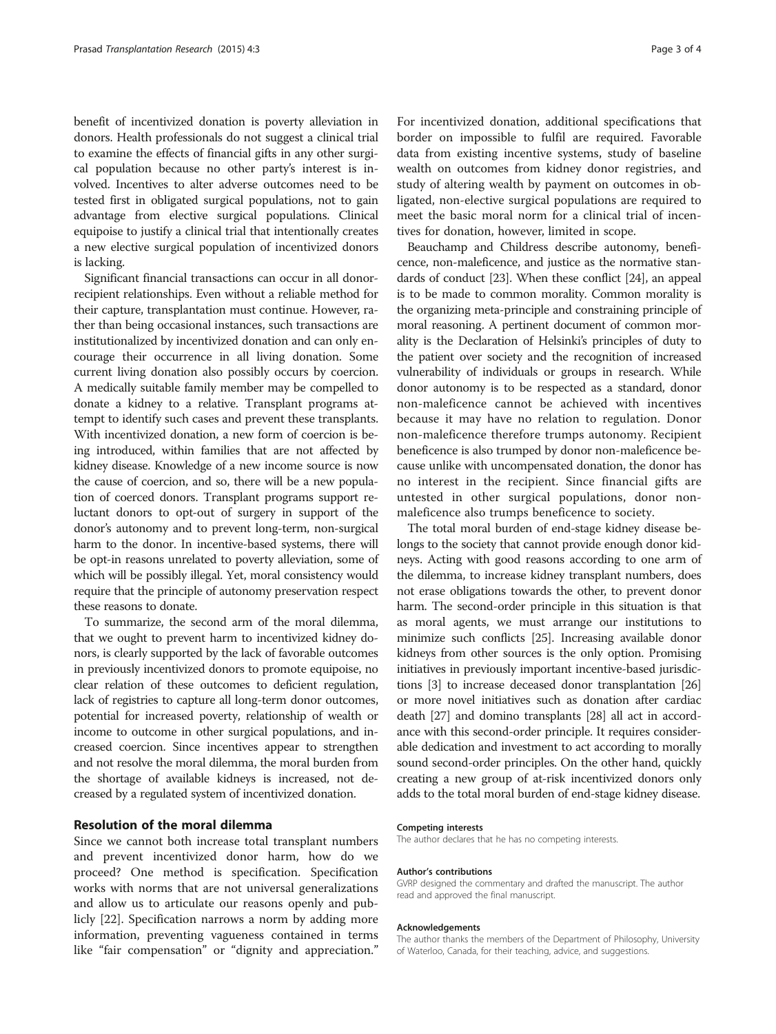benefit of incentivized donation is poverty alleviation in donors. Health professionals do not suggest a clinical trial to examine the effects of financial gifts in any other surgical population because no other party's interest is involved. Incentives to alter adverse outcomes need to be tested first in obligated surgical populations, not to gain advantage from elective surgical populations. Clinical equipoise to justify a clinical trial that intentionally creates a new elective surgical population of incentivized donors is lacking.

Significant financial transactions can occur in all donorrecipient relationships. Even without a reliable method for their capture, transplantation must continue. However, rather than being occasional instances, such transactions are institutionalized by incentivized donation and can only encourage their occurrence in all living donation. Some current living donation also possibly occurs by coercion. A medically suitable family member may be compelled to donate a kidney to a relative. Transplant programs attempt to identify such cases and prevent these transplants. With incentivized donation, a new form of coercion is being introduced, within families that are not affected by kidney disease. Knowledge of a new income source is now the cause of coercion, and so, there will be a new population of coerced donors. Transplant programs support reluctant donors to opt-out of surgery in support of the donor's autonomy and to prevent long-term, non-surgical harm to the donor. In incentive-based systems, there will be opt-in reasons unrelated to poverty alleviation, some of which will be possibly illegal. Yet, moral consistency would require that the principle of autonomy preservation respect these reasons to donate.

To summarize, the second arm of the moral dilemma, that we ought to prevent harm to incentivized kidney donors, is clearly supported by the lack of favorable outcomes in previously incentivized donors to promote equipoise, no clear relation of these outcomes to deficient regulation, lack of registries to capture all long-term donor outcomes, potential for increased poverty, relationship of wealth or income to outcome in other surgical populations, and increased coercion. Since incentives appear to strengthen and not resolve the moral dilemma, the moral burden from the shortage of available kidneys is increased, not decreased by a regulated system of incentivized donation.

### Resolution of the moral dilemma

Since we cannot both increase total transplant numbers and prevent incentivized donor harm, how do we proceed? One method is specification. Specification works with norms that are not universal generalizations and allow us to articulate our reasons openly and publicly [[22\]](#page-3-0). Specification narrows a norm by adding more information, preventing vagueness contained in terms like "fair compensation" or "dignity and appreciation."

For incentivized donation, additional specifications that border on impossible to fulfil are required. Favorable data from existing incentive systems, study of baseline wealth on outcomes from kidney donor registries, and study of altering wealth by payment on outcomes in obligated, non-elective surgical populations are required to meet the basic moral norm for a clinical trial of incentives for donation, however, limited in scope.

Beauchamp and Childress describe autonomy, beneficence, non-maleficence, and justice as the normative standards of conduct [\[23](#page-3-0)]. When these conflict [[24](#page-3-0)], an appeal is to be made to common morality. Common morality is the organizing meta-principle and constraining principle of moral reasoning. A pertinent document of common morality is the Declaration of Helsinki's principles of duty to the patient over society and the recognition of increased vulnerability of individuals or groups in research. While donor autonomy is to be respected as a standard, donor non-maleficence cannot be achieved with incentives because it may have no relation to regulation. Donor non-maleficence therefore trumps autonomy. Recipient beneficence is also trumped by donor non-maleficence because unlike with uncompensated donation, the donor has no interest in the recipient. Since financial gifts are untested in other surgical populations, donor nonmaleficence also trumps beneficence to society.

The total moral burden of end-stage kidney disease belongs to the society that cannot provide enough donor kidneys. Acting with good reasons according to one arm of the dilemma, to increase kidney transplant numbers, does not erase obligations towards the other, to prevent donor harm. The second-order principle in this situation is that as moral agents, we must arrange our institutions to minimize such conflicts [\[25](#page-3-0)]. Increasing available donor kidneys from other sources is the only option. Promising initiatives in previously important incentive-based jurisdictions [\[3](#page-3-0)] to increase deceased donor transplantation [[26](#page-3-0)] or more novel initiatives such as donation after cardiac death [\[27\]](#page-3-0) and domino transplants [[28](#page-3-0)] all act in accordance with this second-order principle. It requires considerable dedication and investment to act according to morally sound second-order principles. On the other hand, quickly creating a new group of at-risk incentivized donors only adds to the total moral burden of end-stage kidney disease.

#### Competing interests

The author declares that he has no competing interests.

#### Author's contributions

GVRP designed the commentary and drafted the manuscript. The author read and approved the final manuscript.

#### Acknowledgements

The author thanks the members of the Department of Philosophy, University of Waterloo, Canada, for their teaching, advice, and suggestions.